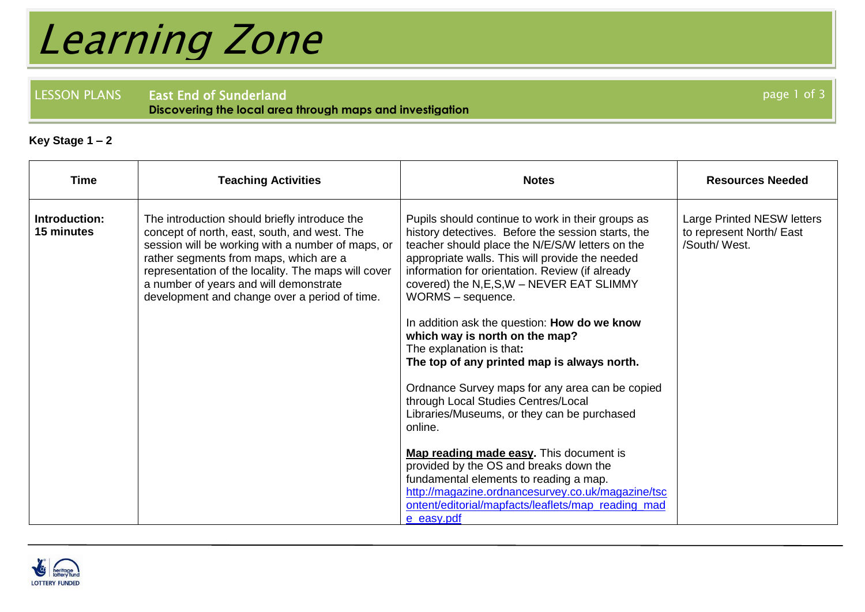## Learning Zone

LESSON PLANS East End of Sunderland **Discovering the local area through maps and investigation**

## **Key Stage 1 – 2**

| <b>Time</b>                 | <b>Teaching Activities</b>                                                                                                                                                                                                                                                                                                                     | <b>Notes</b>                                                                                                                                                                                                                                                                                                                                                                                                                                                                                                                                                                                                                                      | <b>Resources Needed</b>                                                |
|-----------------------------|------------------------------------------------------------------------------------------------------------------------------------------------------------------------------------------------------------------------------------------------------------------------------------------------------------------------------------------------|---------------------------------------------------------------------------------------------------------------------------------------------------------------------------------------------------------------------------------------------------------------------------------------------------------------------------------------------------------------------------------------------------------------------------------------------------------------------------------------------------------------------------------------------------------------------------------------------------------------------------------------------------|------------------------------------------------------------------------|
| Introduction:<br>15 minutes | The introduction should briefly introduce the<br>concept of north, east, south, and west. The<br>session will be working with a number of maps, or<br>rather segments from maps, which are a<br>representation of the locality. The maps will cover<br>a number of years and will demonstrate<br>development and change over a period of time. | Pupils should continue to work in their groups as<br>history detectives. Before the session starts, the<br>teacher should place the N/E/S/W letters on the<br>appropriate walls. This will provide the needed<br>information for orientation. Review (if already<br>covered) the N,E,S,W - NEVER EAT SLIMMY<br>WORMS - sequence.<br>In addition ask the question: How do we know<br>which way is north on the map?<br>The explanation is that:<br>The top of any printed map is always north.<br>Ordnance Survey maps for any area can be copied<br>through Local Studies Centres/Local<br>Libraries/Museums, or they can be purchased<br>online. | Large Printed NESW letters<br>to represent North/ East<br>/South/West. |
|                             |                                                                                                                                                                                                                                                                                                                                                | Map reading made easy. This document is<br>provided by the OS and breaks down the<br>fundamental elements to reading a map.<br>http://magazine.ordnancesurvey.co.uk/magazine/tsc<br>ontent/editorial/mapfacts/leaflets/map_reading_mad<br>e_easy.pdf                                                                                                                                                                                                                                                                                                                                                                                              |                                                                        |



page 1 of 3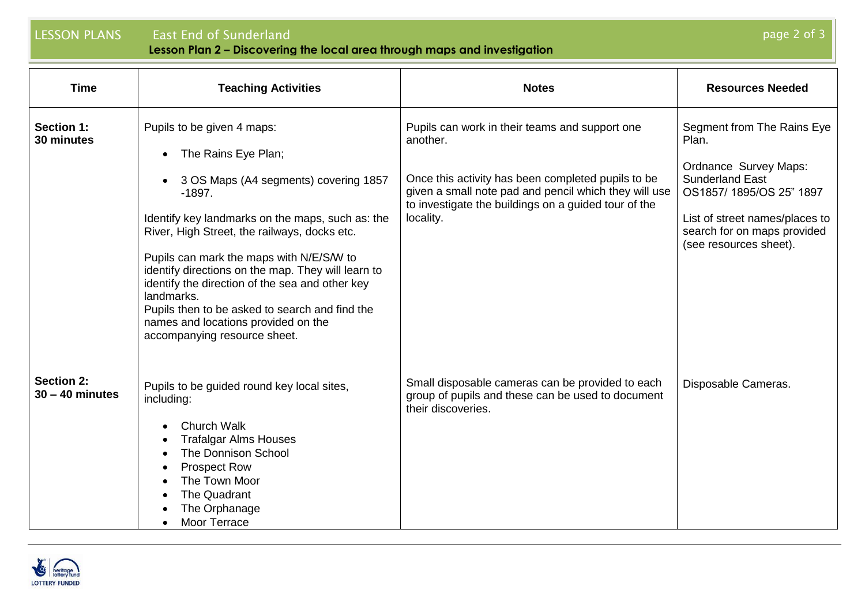## LESSON PLANS East End of Sunderland

**Lesson Plan 2 – Discovering the local area through maps and investigation**

| <b>Time</b>                            | <b>Teaching Activities</b>                                                                                                                                                                                                                                                                                                                                                                                                                                                                                          | <b>Notes</b>                                                                                                                                                                                                                                   | <b>Resources Needed</b>                                                                                                                                                                                             |
|----------------------------------------|---------------------------------------------------------------------------------------------------------------------------------------------------------------------------------------------------------------------------------------------------------------------------------------------------------------------------------------------------------------------------------------------------------------------------------------------------------------------------------------------------------------------|------------------------------------------------------------------------------------------------------------------------------------------------------------------------------------------------------------------------------------------------|---------------------------------------------------------------------------------------------------------------------------------------------------------------------------------------------------------------------|
| <b>Section 1:</b><br>30 minutes        | Pupils to be given 4 maps:<br>The Rains Eye Plan;<br>$\bullet$<br>3 OS Maps (A4 segments) covering 1857<br>$-1897.$<br>Identify key landmarks on the maps, such as: the<br>River, High Street, the railways, docks etc.<br>Pupils can mark the maps with N/E/S/W to<br>identify directions on the map. They will learn to<br>identify the direction of the sea and other key<br>landmarks.<br>Pupils then to be asked to search and find the<br>names and locations provided on the<br>accompanying resource sheet. | Pupils can work in their teams and support one<br>another.<br>Once this activity has been completed pupils to be<br>given a small note pad and pencil which they will use<br>to investigate the buildings on a guided tour of the<br>locality. | Segment from The Rains Eye<br>Plan.<br><b>Ordnance Survey Maps:</b><br><b>Sunderland East</b><br>OS1857/1895/OS 25" 1897<br>List of street names/places to<br>search for on maps provided<br>(see resources sheet). |
| <b>Section 2:</b><br>$30 - 40$ minutes | Pupils to be guided round key local sites,<br>including:<br><b>Church Walk</b><br><b>Trafalgar Alms Houses</b><br>The Donnison School<br><b>Prospect Row</b><br>The Town Moor<br><b>The Quadrant</b><br>The Orphanage<br>Moor Terrace                                                                                                                                                                                                                                                                               | Small disposable cameras can be provided to each<br>group of pupils and these can be used to document<br>their discoveries.                                                                                                                    | Disposable Cameras.                                                                                                                                                                                                 |